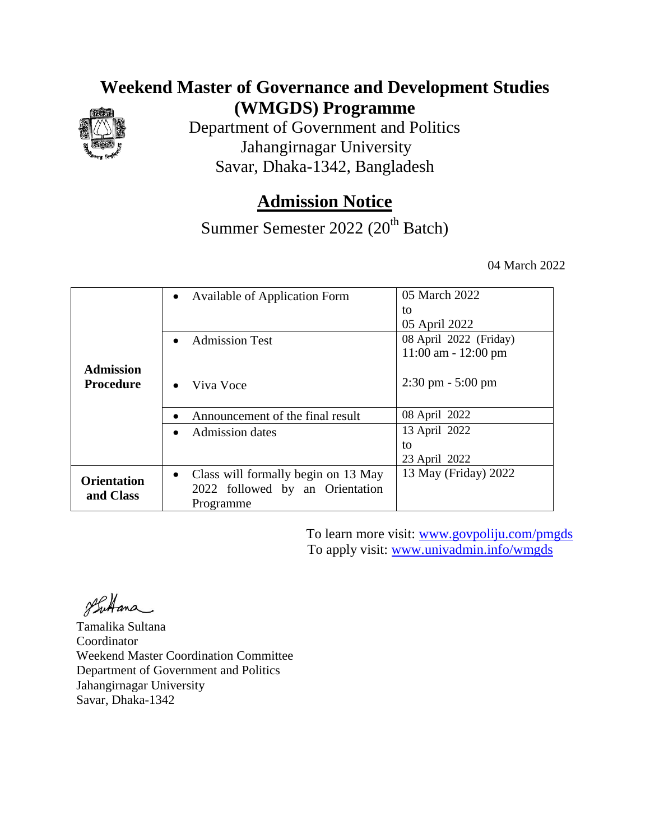### **Weekend Master of Governance and Development Studies (WMGDS) Programme**



Department of Government and Politics Jahangirnagar University Savar, Dhaka-1342, Bangladesh

## **Admission Notice**

Summer Semester 2022 (20<sup>th</sup> Batch)

04 March 2022

|                    | <b>Available of Application Form</b><br>$\bullet$ | 05 March 2022                       |
|--------------------|---------------------------------------------------|-------------------------------------|
|                    |                                                   | to                                  |
|                    |                                                   | 05 April 2022                       |
|                    | <b>Admission Test</b><br>$\bullet$                | 08 April 2022 (Friday)              |
|                    |                                                   | $11:00$ am - $12:00$ pm             |
| <b>Admission</b>   |                                                   |                                     |
| <b>Procedure</b>   | Viva Voce<br>$\bullet$                            | $2:30 \text{ pm} - 5:00 \text{ pm}$ |
|                    |                                                   |                                     |
|                    | Announcement of the final result<br>$\bullet$     | 08 April 2022                       |
|                    | <b>Admission dates</b><br>$\bullet$               | 13 April 2022                       |
|                    |                                                   | to                                  |
|                    |                                                   | 23 April 2022                       |
| <b>Orientation</b> | Class will formally begin on 13 May<br>$\bullet$  | 13 May (Friday) 2022                |
|                    | 2022 followed by an Orientation                   |                                     |
| and Class          | Programme                                         |                                     |

To learn more visit: [www.govpoliju.com/pmgds](http://www.govpoliju.com/pmgds) To apply visit: [www.univadmin.info/wmgds](http://www.univadmin.info/wmgds)

Suttana

Tamalika Sultana Coordinator Weekend Master Coordination Committee Department of Government and Politics Jahangirnagar University Savar, Dhaka-1342